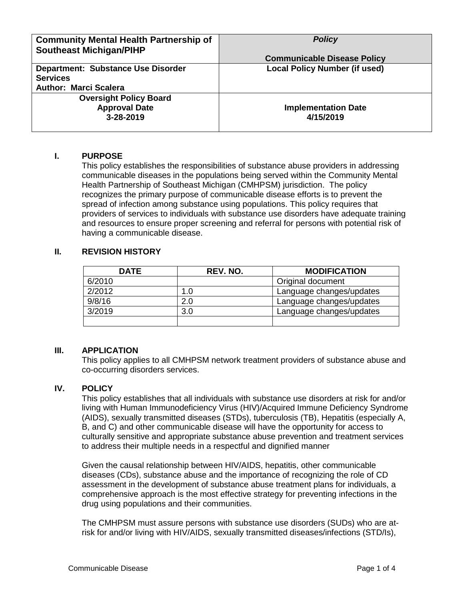| <b>Community Mental Health Partnership of</b><br><b>Southeast Michigan/PIHP</b>              | <b>Policy</b><br><b>Communicable Disease Policy</b> |
|----------------------------------------------------------------------------------------------|-----------------------------------------------------|
| <b>Department: Substance Use Disorder</b><br><b>Services</b><br><b>Author: Marci Scalera</b> | <b>Local Policy Number (if used)</b>                |
| <b>Oversight Policy Board</b><br><b>Approval Date</b><br>3-28-2019                           | <b>Implementation Date</b><br>4/15/2019             |

## **I. PURPOSE**

This policy establishes the responsibilities of substance abuse providers in addressing communicable diseases in the populations being served within the Community Mental Health Partnership of Southeast Michigan (CMHPSM) jurisdiction. The policy recognizes the primary purpose of communicable disease efforts is to prevent the spread of infection among substance using populations. This policy requires that providers of services to individuals with substance use disorders have adequate training and resources to ensure proper screening and referral for persons with potential risk of having a communicable disease.

# **II. REVISION HISTORY**

| <b>DATE</b> | REV. NO. | <b>MODIFICATION</b>      |
|-------------|----------|--------------------------|
| 6/2010      |          | Original document        |
| 2/2012      | 1.0      | Language changes/updates |
| 9/8/16      | 2.0      | Language changes/updates |
| 3/2019      | 3.0      | Language changes/updates |
|             |          |                          |

# **III. APPLICATION**

This policy applies to all CMHPSM network treatment providers of substance abuse and co-occurring disorders services.

## **IV. POLICY**

This policy establishes that all individuals with substance use disorders at risk for and/or living with Human Immunodeficiency Virus (HIV)/Acquired Immune Deficiency Syndrome (AIDS), sexually transmitted diseases (STDs), tuberculosis (TB), Hepatitis (especially A, B, and C) and other communicable disease will have the opportunity for access to culturally sensitive and appropriate substance abuse prevention and treatment services to address their multiple needs in a respectful and dignified manner

Given the causal relationship between HIV/AIDS, hepatitis, other communicable diseases (CDs), substance abuse and the importance of recognizing the role of CD assessment in the development of substance abuse treatment plans for individuals, a comprehensive approach is the most effective strategy for preventing infections in the drug using populations and their communities.

The CMHPSM must assure persons with substance use disorders (SUDs) who are atrisk for and/or living with HIV/AIDS, sexually transmitted diseases/infections (STD/Is),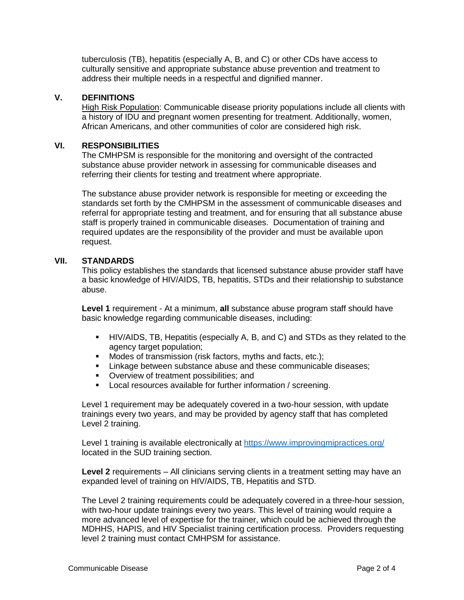tuberculosis (TB), hepatitis (especially A, B, and C) or other CDs have access to culturally sensitive and appropriate substance abuse prevention and treatment to address their multiple needs in a respectful and dignified manner.

## **V. DEFINITIONS**

High Risk Population: Communicable disease priority populations include all clients with a history of IDU and pregnant women presenting for treatment. Additionally, women, African Americans, and other communities of color are considered high risk.

### **VI. RESPONSIBILITIES**

The CMHPSM is responsible for the monitoring and oversight of the contracted substance abuse provider network in assessing for communicable diseases and referring their clients for testing and treatment where appropriate.

The substance abuse provider network is responsible for meeting or exceeding the standards set forth by the CMHPSM in the assessment of communicable diseases and referral for appropriate testing and treatment, and for ensuring that all substance abuse staff is properly trained in communicable diseases. Documentation of training and required updates are the responsibility of the provider and must be available upon request.

### **VII. STANDARDS**

This policy establishes the standards that licensed substance abuse provider staff have a basic knowledge of HIV/AIDS, TB, hepatitis, STDs and their relationship to substance abuse.

**Level 1** requirement - At a minimum, **all** substance abuse program staff should have basic knowledge regarding communicable diseases, including:

- HIV/AIDS, TB, Hepatitis (especially A, B, and C) and STDs as they related to the agency target population;
- Modes of transmission (risk factors, myths and facts, etc.);
- **EXECT** Linkage between substance abuse and these communicable diseases;
- **Overview of treatment possibilities; and**
- Local resources available for further information / screening.

Level 1 requirement may be adequately covered in a two-hour session, with update trainings every two years, and may be provided by agency staff that has completed Level 2 training.

Level 1 training is available electronically at<https://www.improvingmipractices.org/> located in the SUD training section.

**Level 2** requirements – All clinicians serving clients in a treatment setting may have an expanded level of training on HIV/AIDS, TB, Hepatitis and STD.

The Level 2 training requirements could be adequately covered in a three-hour session, with two-hour update trainings every two years. This level of training would require a more advanced level of expertise for the trainer, which could be achieved through the MDHHS, HAPIS, and HIV Specialist training certification process. Providers requesting level 2 training must contact CMHPSM for assistance.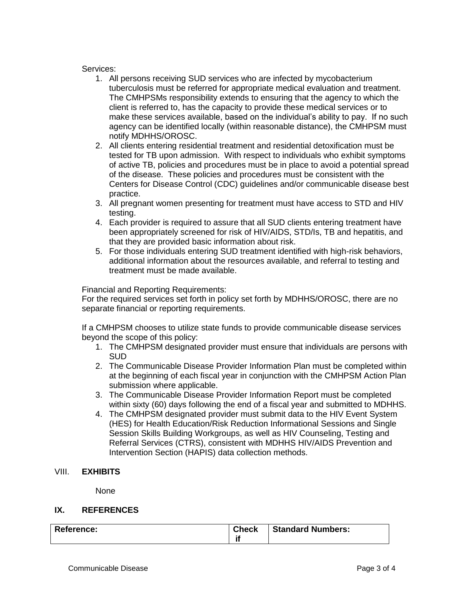### Services:

- 1. All persons receiving SUD services who are infected by mycobacterium tuberculosis must be referred for appropriate medical evaluation and treatment. The CMHPSMs responsibility extends to ensuring that the agency to which the client is referred to, has the capacity to provide these medical services or to make these services available, based on the individual's ability to pay. If no such agency can be identified locally (within reasonable distance), the CMHPSM must notify MDHHS/OROSC.
- 2. All clients entering residential treatment and residential detoxification must be tested for TB upon admission. With respect to individuals who exhibit symptoms of active TB, policies and procedures must be in place to avoid a potential spread of the disease. These policies and procedures must be consistent with the Centers for Disease Control (CDC) guidelines and/or communicable disease best practice.
- 3. All pregnant women presenting for treatment must have access to STD and HIV testing.
- 4. Each provider is required to assure that all SUD clients entering treatment have been appropriately screened for risk of HIV/AIDS, STD/Is, TB and hepatitis, and that they are provided basic information about risk.
- 5. For those individuals entering SUD treatment identified with high-risk behaviors, additional information about the resources available, and referral to testing and treatment must be made available.

Financial and Reporting Requirements:

For the required services set forth in policy set forth by MDHHS/OROSC, there are no separate financial or reporting requirements.

If a CMHPSM chooses to utilize state funds to provide communicable disease services beyond the scope of this policy:

- 1. The CMHPSM designated provider must ensure that individuals are persons with **SUD**
- 2. The Communicable Disease Provider Information Plan must be completed within at the beginning of each fiscal year in conjunction with the CMHPSM Action Plan submission where applicable.
- 3. The Communicable Disease Provider Information Report must be completed within sixty (60) days following the end of a fiscal year and submitted to MDHHS.
- 4. The CMHPSM designated provider must submit data to the HIV Event System (HES) for Health Education/Risk Reduction Informational Sessions and Single Session Skills Building Workgroups, as well as HIV Counseling, Testing and Referral Services (CTRS), consistent with MDHHS HIV/AIDS Prevention and Intervention Section (HAPIS) data collection methods.

# VIII. **EXHIBITS**

None

## **IX. REFERENCES**

| <b>Reference:</b> | <b>Check</b><br>п. | <b>Standard Numbers:</b> |  |
|-------------------|--------------------|--------------------------|--|
|-------------------|--------------------|--------------------------|--|